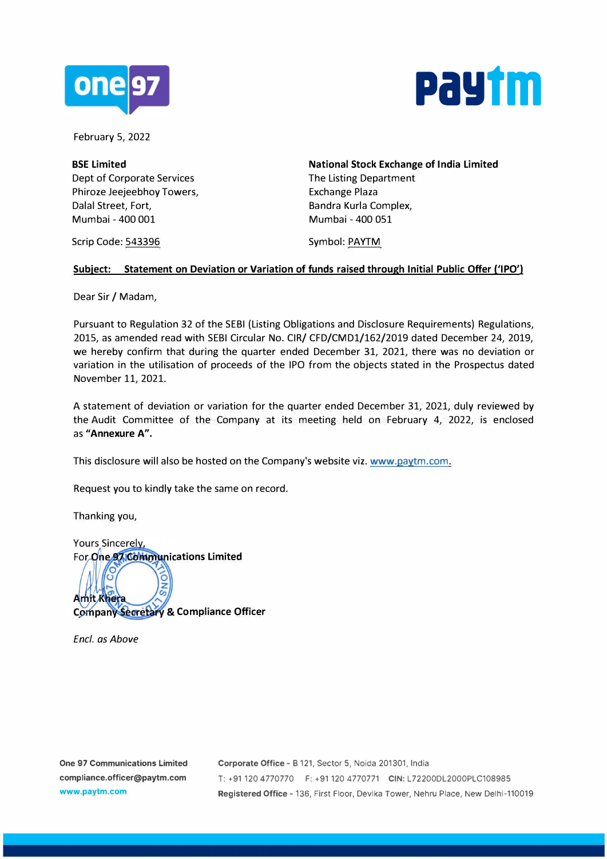



February 5, 2022

**BSE Limited**  Dept of Corporate Services Phiroze Jeejeebhoy Towers, Dalal Street, Fort, Mumbai - 400 001

**National Stock Exchange of India Limited**  The Listing Department Exchange Plaza Bandra Kurla Complex, Mumbai - 400 051

Scrip Code: 543396

Symbol: PAYTM

## **Subject: Statement on Deviation or Variation of funds raised through Initial Public Offer ('IPO')**

Dear Sir / Madam,

Pursuant to Regulation 32 of the SEBI (Listing Obligations and Disclosure Requirements) Regulations, 2015, as amended read with SEBI Circular No. CIR/ CFD/CMDl/162/2019 dated December 24, 2019, we hereby confirm that during the quarter ended December 31, 2021, there was no deviation or variation in the utilisation of proceeds of the IPO from the objects stated in the Prospectus dated November 11, 2021.

A statement of deviation or variation for the quarter ended December 31, 2021, duly reviewed by the Audit Committee of the Company at its meeting held on February 4, 2022, is enclosed as **"Annexure A".** 

This disclosure will also be hosted on the Company's website viz. www.paytm.com.

Request you to kindly take the same on record.

Thanking you,

o

Yours Sincerely, For One 97 Communications Limited

ÓN Amit Khera **Company Secretary & Compliance Officer** 

*Encl. as Above*